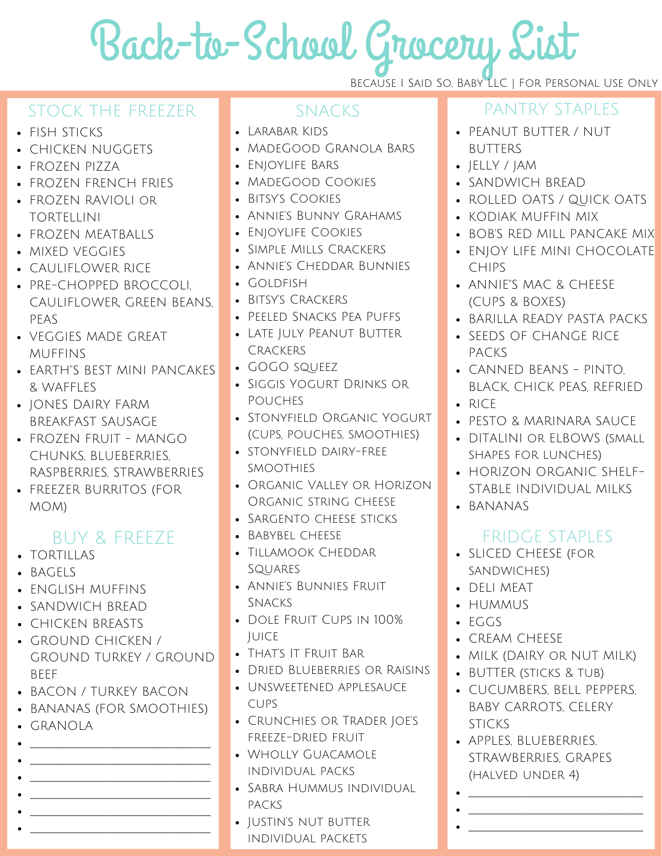# Back-to-School Grocery List

### STOCK THE FREEZER SNACKS PANTRY STAPLES

- FISH STICKS
- CHICKEN NUGGETS
- FROZEN PIZZA
- FROZEN FRENCH FRIES
- FROZEN RAVIOLI or TORTELLINI
- FROZEN MEATBALLS
- MIXED VEGGIES
- CAULIFLOWER RICE
- PRE-CHOPPED BROCCOLI, CAULIFLOWER, GREEN BEANS, PEAS
- VEGGIES MADE GREAT MUFFINS
- EARTH"S BEST MINI PANCAKES & WAFFLES
- JONES DAIRY FARM BREAKFAST SAUSAGE
- FROZEN FRUIT MANGO CHUNKS, BLUEBERRIES, RASPBERRIES, STRAWBERRIES
- FREEZER BURRITOS (FOR MOM)

# BUY & FREEZE

- TORTILLAS
- BAGELS
- ENGLISH MUFFINS
- SANDWICH BREAD
- CHICKEN BREASTS
- GROUND CHICKEN / GROUND TURKEY / GROUND **RFFF**
- BACON / TURKEY BACON
- BANANAS (FOR SMOOTHIES)
- GRANOLA
- \_\_\_\_\_\_\_\_\_\_\_\_\_\_\_\_\_\_\_\_\_\_\_\_\_\_\_\_\_\_\_ \_\_\_\_\_\_\_\_\_\_\_\_\_\_\_\_\_\_\_\_\_\_\_\_\_\_\_\_\_\_\_
- \_\_\_\_\_\_\_\_\_\_\_\_\_\_\_\_\_\_\_\_\_\_\_\_\_\_\_\_\_\_\_ \_\_\_\_\_\_\_\_\_\_\_\_\_\_\_\_\_\_\_\_\_\_\_\_\_\_\_\_\_\_\_

\_\_\_\_\_\_\_\_\_\_\_\_\_\_\_\_\_\_\_\_\_\_\_\_\_\_\_\_\_\_\_ \_\_\_\_\_\_\_\_\_\_\_\_\_\_\_\_\_\_\_\_\_\_\_\_\_\_\_\_\_\_\_

- Larabar Kids
- MadeGood Granola Bars
- EnjoyLife Bars
- MadeGood Cookies
- Bitsy's Cookies
- Annie's Bunny Grahams
- **.** ENIOYLIFE COOKIES
- Simple Mills Crackers
- Annie's Cheddar Bunnies
- $\cdot$  Goldfish
- BITSY'S CRACKERS
- Peeled Snacks Pea Puffs
- Late July Peanut Butter **CRACKERS**
- GOGO squeez
- Siggis Yogurt Drinks or Pouches
- STONYFIELD ORGANIC YOGURT (cups, pouches, smoothies)
- stonyfield dairy-free smoothies
- Organic Valley or Horizon Organic string cheese
- SARGENTO CHEESE STICKS
- BABYBEL CHEESE
- Tillamook Cheddar Squares
- Annie's Bunnies Fruit Snacks
- Dole Fruit Cups in 100% **JUICE**
- That's It Fruit Bar
- DRIED BLUEBERRIES OR RAISINS
- Unsweetened applesauce cups
- Crunchies or Trader Joe's freeze-dried fruit
- Wholly Guacamole individual packs
- Sabra Hummus individual packs
- IUSTIN'S NUT BUTTER individual packets

- PEANUT BUTTER / NUT BUTTERS
- JELLY / JAM

Because I Said So, Baby LLC | For Personal Use Only

- SANDWICH BREAD
- ROLLED OATS / QUICK OATS
- KODIAK MUFFIN MIX
- BOB'S RED MILL PANCAKE MIX
- ENJOY LIFE MINI CHOCOLATE CHIPS
- ANNIE"S MAC & CHEESE (CUPS & BOXES)
- BARILLA READY PASTA PACKS
- SEEDS OF CHANGE RICE PACKS
- CANNED BEANS PINTO, BLACK, CHICK PEAS, REFRIED  $\cdot$  RICF
- PESTO & MARINARA SAUCE
- DITALINI OR ELBOWS (SMALL shapes for lunches)
- HORIZON ORGANIC SHELF-STABLE INDIVIDUAL MILKS
- **.** BANANAS

# FRIDGE STAPLES

- SLICED CHEESE (for sandwiches)
- DELI MEAT
- HUMMUS
- EGGS
- CREAM CHEESE
- MILK (DAIRY or NUT MILK)
- BUTTER (sticks & tub)
- CUCUMBERS, BELL PEPPERS, BABY CARROTS, CELERY **STICKS**

\_\_\_\_\_\_\_\_\_\_\_\_\_\_\_\_\_\_\_\_\_\_\_\_\_\_\_\_\_\_ \_\_\_\_\_\_\_\_\_\_\_\_\_\_\_\_\_\_\_\_\_\_\_\_\_\_\_\_\_\_ \_\_\_\_\_\_\_\_\_\_\_\_\_\_\_\_\_\_\_\_\_\_\_\_\_\_\_\_\_\_

APPLES, BLUEBERRIES, STRAWBERRIES, GRAPES (halved under 4)